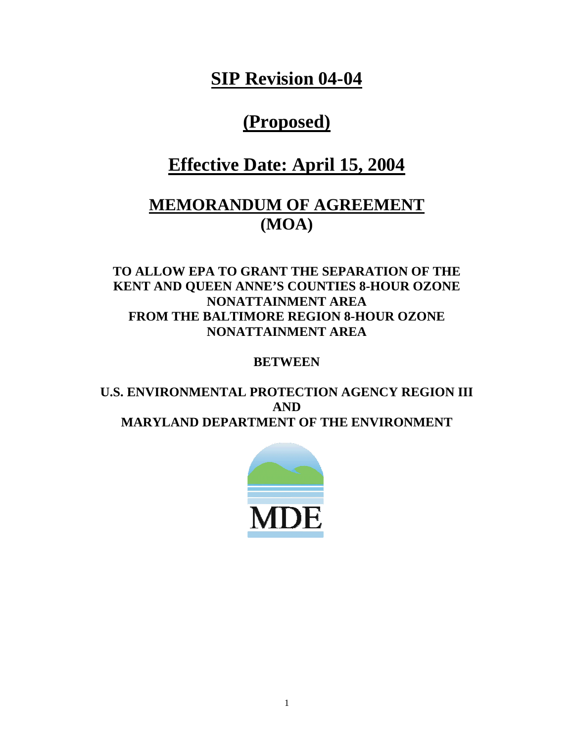**SIP Revision 04-04**

# **(Proposed)**

## **Effective Date: April 15, 2004**

## **MEMORANDUM OF AGREEMENT (MOA)**

## **TO ALLOW EPA TO GRANT THE SEPARATION OF THE KENT AND QUEEN ANNE'S COUNTIES 8-HOUR OZONE NONATTAINMENT AREA FROM THE BALTIMORE REGION 8-HOUR OZONE NONATTAINMENT AREA**

### **BETWEEN**

## **U.S. ENVIRONMENTAL PROTECTION AGENCY REGION III AND MARYLAND DEPARTMENT OF THE ENVIRONMENT**

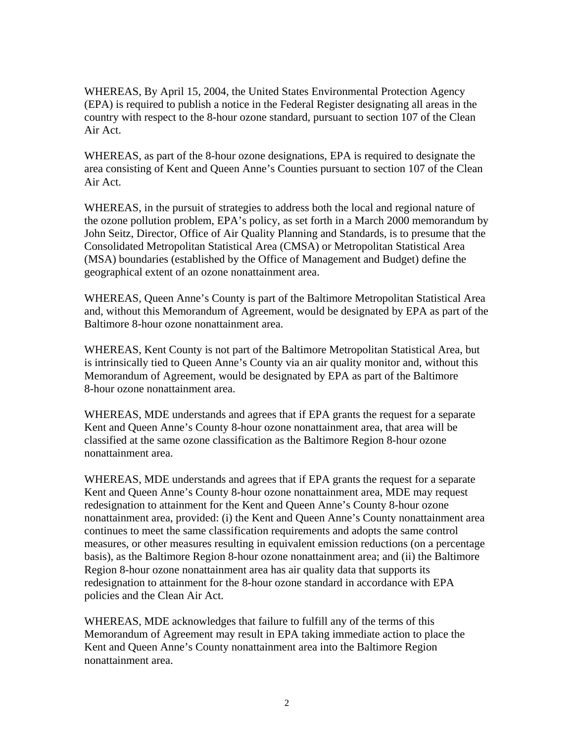WHEREAS, By April 15, 2004, the United States Environmental Protection Agency (EPA) is required to publish a notice in the Federal Register designating all areas in the country with respect to the 8-hour ozone standard, pursuant to section 107 of the Clean Air Act.

WHEREAS, as part of the 8-hour ozone designations, EPA is required to designate the area consisting of Kent and Queen Anne's Counties pursuant to section 107 of the Clean Air Act.

WHEREAS, in the pursuit of strategies to address both the local and regional nature of the ozone pollution problem, EPA's policy, as set forth in a March 2000 memorandum by John Seitz, Director, Office of Air Quality Planning and Standards, is to presume that the Consolidated Metropolitan Statistical Area (CMSA) or Metropolitan Statistical Area (MSA) boundaries (established by the Office of Management and Budget) define the geographical extent of an ozone nonattainment area.

WHEREAS, Queen Anne's County is part of the Baltimore Metropolitan Statistical Area and, without this Memorandum of Agreement, would be designated by EPA as part of the Baltimore 8-hour ozone nonattainment area.

WHEREAS, Kent County is not part of the Baltimore Metropolitan Statistical Area, but is intrinsically tied to Queen Anne's County via an air quality monitor and, without this Memorandum of Agreement, would be designated by EPA as part of the Baltimore 8-hour ozone nonattainment area.

WHEREAS, MDE understands and agrees that if EPA grants the request for a separate Kent and Queen Anne's County 8-hour ozone nonattainment area, that area will be classified at the same ozone classification as the Baltimore Region 8-hour ozone nonattainment area.

WHEREAS, MDE understands and agrees that if EPA grants the request for a separate Kent and Queen Anne's County 8-hour ozone nonattainment area, MDE may request redesignation to attainment for the Kent and Queen Anne's County 8-hour ozone nonattainment area, provided: (i) the Kent and Queen Anne's County nonattainment area continues to meet the same classification requirements and adopts the same control measures, or other measures resulting in equivalent emission reductions (on a percentage basis), as the Baltimore Region 8-hour ozone nonattainment area; and (ii) the Baltimore Region 8-hour ozone nonattainment area has air quality data that supports its redesignation to attainment for the 8-hour ozone standard in accordance with EPA policies and the Clean Air Act.

WHEREAS, MDE acknowledges that failure to fulfill any of the terms of this Memorandum of Agreement may result in EPA taking immediate action to place the Kent and Queen Anne's County nonattainment area into the Baltimore Region nonattainment area.